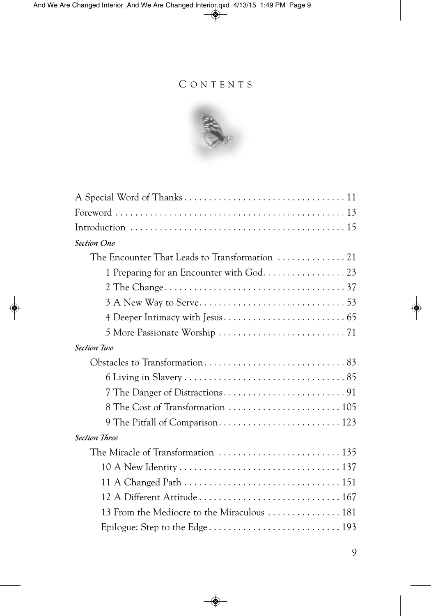#### C O N T E N T S



| Section One                                 |
|---------------------------------------------|
|                                             |
|                                             |
|                                             |
|                                             |
|                                             |
|                                             |
| <b>Section Two</b>                          |
|                                             |
|                                             |
|                                             |
|                                             |
|                                             |
| <b>Section Three</b>                        |
|                                             |
|                                             |
|                                             |
| 12 A Different Attitude  167                |
| 13 From the Mediocre to the Miraculous  181 |
|                                             |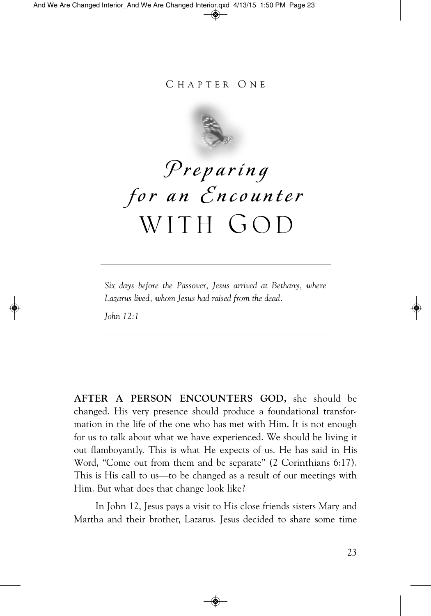#### C H A P T E R O N E



# **P**re p ari n g for an *Encounter* WITH GOD

*Six days before the Passover, Jesus arrived at Bethany, where Lazarus lived, whom Jesus had raised from the dead.*

*John 12:1*

**AFTER A PERSON ENCOUNTERS GOD,** she should be changed. His very presence should produce a foundational transformation in the life of the one who has met with Him. It is not enough for us to talk about what we have experienced. We should be living it out flamboyantly. This is what He expects of us. He has said in His Word, "Come out from them and be separate" (2 Corinthians 6:17). This is His call to us—to be changed as a result of our meetings with Him. But what does that change look like?

In John 12, Jesus pays a visit to His close friends sisters Mary and Martha and their brother, Lazarus. Jesus decided to share some time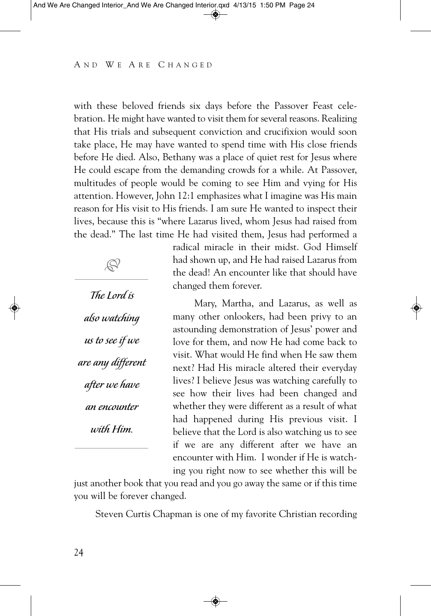with these beloved friends six days before the Passover Feast celebration. He might have wanted to visit them for several reasons. Realizing that His trials and subsequent conviction and crucifixion would soon take place, He may have wanted to spend time with His close friends before He died. Also, Bethany was a place of quiet rest for Jesus where He could escape from the demanding crowds for a while. At Passover, multitudes of people would be coming to see Him and vying for His attention. However, John 12:1 emphasizes what I imagine was His main reason for His visit to His friends. I am sure He wanted to inspect their lives, because this is "where Lazarus lived, whom Jesus had raised from the dead." The last time He had visited them, Jesus had performed a

The Lord is also watching us to see if we are any different after we have an encounter with Him.

 $\mathbb{R}^2$ 

radical miracle in their midst. God Himself had shown up, and He had raised Lazarus from the dead! An encounter like that should have changed them forever.

Mary, Martha, and Lazarus, as well as many other onlookers, had been privy to an astounding demonstration of Jesus' power and love for them, and now He had come back to visit. What would He find when He saw them next? Had His miracle altered their everyday lives? I believe Jesus was watching carefully to see how their lives had been changed and whether they were different as a result of what had happened during His previous visit. I believe that the Lord is also watching us to see if we are any different after we have an encounter with Him. I wonder if He is watching you right now to see whether this will be

just another book that you read and you go away the same or if this time you will be forever changed.

Steven Curtis Chapman is one of my favorite Christian recording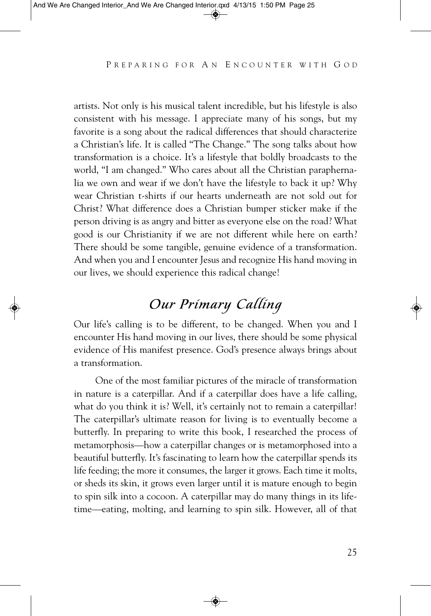artists. Not only is his musical talent incredible, but his lifestyle is also consistent with his message. I appreciate many of his songs, but my favorite is a song about the radical differences that should characterize a Christian's life. It is called "The Change." The song talks about how transformation is a choice. It's a lifestyle that boldly broadcasts to the world, "I am changed." Who cares about all the Christian paraphernalia we own and wear if we don't have the lifestyle to back it up? Why wear Christian t-shirts if our hearts underneath are not sold out for Christ? What difference does a Christian bumper sticker make if the person driving is as angry and bitter as everyone else on the road? What good is our Christianity if we are not different while here on earth? There should be some tangible, genuine evidence of a transformation. And when you and I encounter Jesus and recognize His hand moving in our lives, we should experience this radical change!

# Our Primary Calling

Our life's calling is to be different, to be changed. When you and I encounter His hand moving in our lives, there should be some physical evidence of His manifest presence. God's presence always brings about a transformation.

One of the most familiar pictures of the miracle of transformation in nature is a caterpillar. And if a caterpillar does have a life calling, what do you think it is? Well, it's certainly not to remain a caterpillar! The caterpillar's ultimate reason for living is to eventually become a butterfly. In preparing to write this book, I researched the process of metamorphosis—how a caterpillar changes or is metamorphosed into a beautiful butterfly. It's fascinating to learn how the caterpillar spends its life feeding; the more it consumes, the larger it grows. Each time it molts, or sheds its skin, it grows even larger until it is mature enough to begin to spin silk into a cocoon. A caterpillar may do many things in its lifetime—eating, molting, and learning to spin silk. However, all of that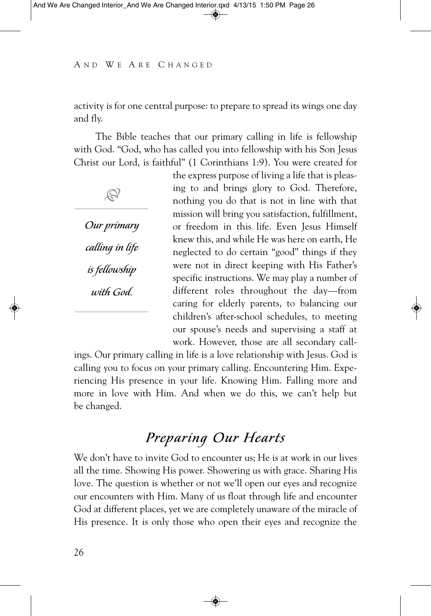activity is for one central purpose: to prepare to spread its wings one day and fly.

The Bible teaches that our primary calling in life is fellowship with God. "God, who has called you into fellowship with his Son Jesus Christ our Lord, is faithful" (1 Corinthians 1:9). You were created for

Our primary calling in life is fellowship with God.

 $\mathbb{R}^2$ 

the express purpose of living a life that is pleasing to and brings glory to God. Therefore, nothing you do that is not in line with that mission will bring you satisfaction, fulfillment, or freedom in this life. Even Jesus Himself knew this, and while He was here on earth, He neglected to do certain "good" things if they were not in direct keeping with His Father's specific instructions. We may play a number of different roles throughout the day—from caring for elderly parents, to balancing our children's after-school schedules, to meeting our spouse's needs and supervising a staff at work. However, those are all secondary call-

ings. Our primary calling in life is a love relationship with Jesus. God is calling you to focus on your primary calling. Encountering Him. Experiencing His presence in your life. Knowing Him. Falling more and more in love with Him. And when we do this, we can't help but be changed.

### Preparing Our Hearts

We don't have to invite God to encounter us; He is at work in our lives all the time. Showing His power. Showering us with grace. Sharing His love. The question is whether or not we'll open our eyes and recognize our encounters with Him. Many of us float through life and encounter God at different places, yet we are completely unaware of the miracle of His presence. It is only those who open their eyes and recognize the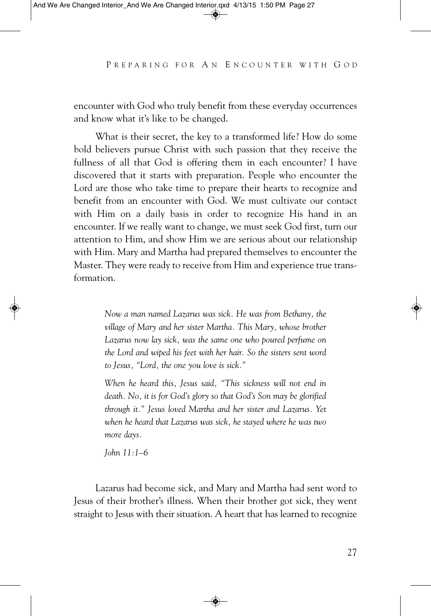encounter with God who truly benefit from these everyday occurrences and know what it's like to be changed.

What is their secret, the key to a transformed life? How do some bold believers pursue Christ with such passion that they receive the fullness of all that God is offering them in each encounter? I have discovered that it starts with preparation. People who encounter the Lord are those who take time to prepare their hearts to recognize and benefit from an encounter with God. We must cultivate our contact with Him on a daily basis in order to recognize His hand in an encounter. If we really want to change, we must seek God first, turn our attention to Him, and show Him we are serious about our relationship with Him. Mary and Martha had prepared themselves to encounter the Master. They were ready to receive from Him and experience true transformation.

> *Now a man named Lazarus was sick. He was from Bethany, the village of Mary and her sister Martha. This Mary, whose brother Lazarus now lay sick, was the same one who poured perfume on the Lord and wiped his feet with her hair. So the sisters sent word to Jesus, "Lord, the one you love is sick."*

> *When he heard this, Jesus said, "This sickness will not end in death. No, it is for God's glory so that God's Son may be glorified through it." Jesus loved Martha and her sister and Lazarus. Yet when he heard that Lazarus was sick, he stayed where he was two more days.*

*John 11:1–6*

Lazarus had become sick, and Mary and Martha had sent word to Jesus of their brother's illness. When their brother got sick, they went straight to Jesus with their situation. A heart that has learned to recognize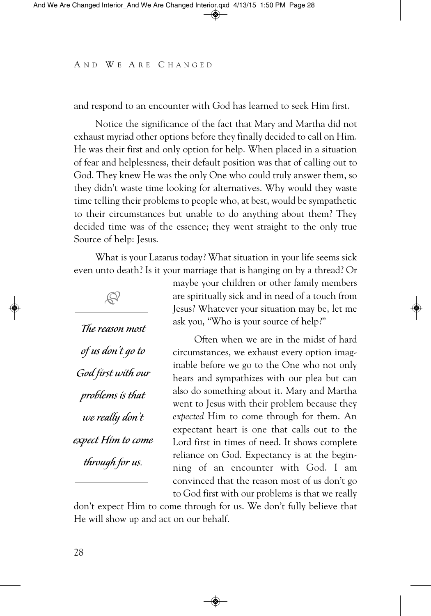and respond to an encounter with God has learned to seek Him first.

Notice the significance of the fact that Mary and Martha did not exhaust myriad other options before they finally decided to call on Him. He was their first and only option for help. When placed in a situation of fear and helplessness, their default position was that of calling out to God. They knew He was the only One who could truly answer them, so they didn't waste time looking for alternatives. Why would they waste time telling their problems to people who, at best, would be sympathetic to their circumstances but unable to do anything about them? They decided time was of the essence; they went straight to the only true Source of help: Jesus.

What is your Lazarus today? What situation in your life seems sick even unto death? Is it your marriage that is hanging on by a thread? Or



maybe your children or other family members are spiritually sick and in need of a touch from Jesus? Whatever your situation may be, let me ask you, "Who is your source of help?"

Often when we are in the midst of hard circumstances, we exhaust every option imaginable before we go to the One who not only hears and sympathizes with our plea but can also do something about it. Mary and Martha went to Jesus with their problem because they *expected* Him to come through for them. An expectant heart is one that calls out to the Lord first in times of need. It shows complete reliance on God. Expectancy is at the beginning of an encounter with God. I am convinced that the reason most of us don't go to God first with our problems is that we really

don't expect Him to come through for us. We don't fully believe that He will show up and act on our behalf.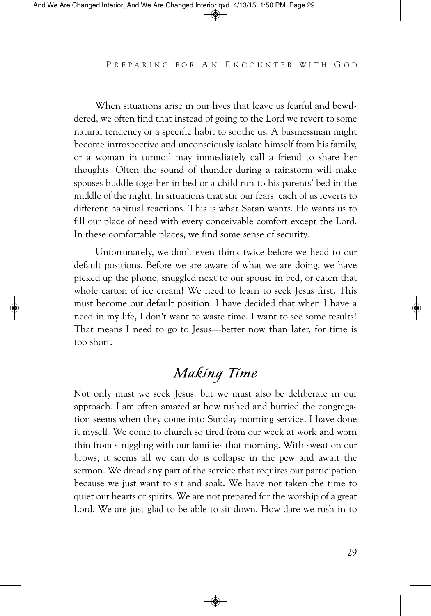When situations arise in our lives that leave us fearful and bewildered, we often find that instead of going to the Lord we revert to some natural tendency or a specific habit to soothe us. A businessman might become introspective and unconsciously isolate himself from his family, or a woman in turmoil may immediately call a friend to share her thoughts. Often the sound of thunder during a rainstorm will make spouses huddle together in bed or a child run to his parents' bed in the middle of the night. In situations that stir our fears, each of us reverts to different habitual reactions. This is what Satan wants. He wants us to fill our place of need with every conceivable comfort except the Lord. In these comfortable places, we find some sense of security.

Unfortunately, we don't even think twice before we head to our default positions. Before we are aware of what we are doing, we have picked up the phone, snuggled next to our spouse in bed, or eaten that whole carton of ice cream! We need to learn to seek Jesus first. This must become our default position. I have decided that when I have a need in my life, I don't want to waste time. I want to see some results! That means I need to go to Jesus—better now than later, for time is too short.

# Making Time

Not only must we seek Jesus, but we must also be deliberate in our approach. I am often amazed at how rushed and hurried the congregation seems when they come into Sunday morning service. I have done it myself. We come to church so tired from our week at work and worn thin from struggling with our families that morning. With sweat on our brows, it seems all we can do is collapse in the pew and await the sermon. We dread any part of the service that requires our participation because we just want to sit and soak. We have not taken the time to quiet our hearts or spirits. We are not prepared for the worship of a great Lord. We are just glad to be able to sit down. How dare we rush in to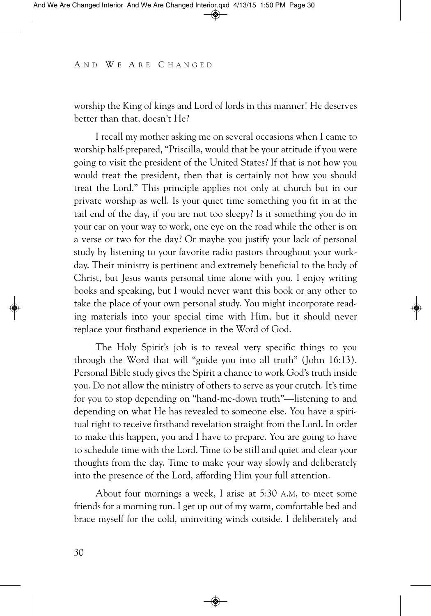worship the King of kings and Lord of lords in this manner! He deserves better than that, doesn't He?

I recall my mother asking me on several occasions when I came to worship half-prepared, "Priscilla, would that be your attitude if you were going to visit the president of the United States? If that is not how you would treat the president, then that is certainly not how you should treat the Lord." This principle applies not only at church but in our private worship as well. Is your quiet time something you fit in at the tail end of the day, if you are not too sleepy? Is it something you do in your car on your way to work, one eye on the road while the other is on a verse or two for the day? Or maybe you justify your lack of personal study by listening to your favorite radio pastors throughout your workday. Their ministry is pertinent and extremely beneficial to the body of Christ, but Jesus wants personal time alone with you. I enjoy writing books and speaking, but I would never want this book or any other to take the place of your own personal study. You might incorporate reading materials into your special time with Him, but it should never replace your firsthand experience in the Word of God.

The Holy Spirit's job is to reveal very specific things to you through the Word that will "guide you into all truth" (John 16:13). Personal Bible study gives the Spirit a chance to work God's truth inside you. Do not allow the ministry of others to serve as your crutch. It's time for you to stop depending on "hand-me-down truth"—listening to and depending on what He has revealed to someone else. You have a spiritual right to receive firsthand revelation straight from the Lord. In order to make this happen, you and I have to prepare. You are going to have to schedule time with the Lord. Time to be still and quiet and clear your thoughts from the day. Time to make your way slowly and deliberately into the presence of the Lord, affording Him your full attention.

About four mornings a week, I arise at 5:30 A.M. to meet some friends for a morning run. I get up out of my warm, comfortable bed and brace myself for the cold, uninviting winds outside. I deliberately and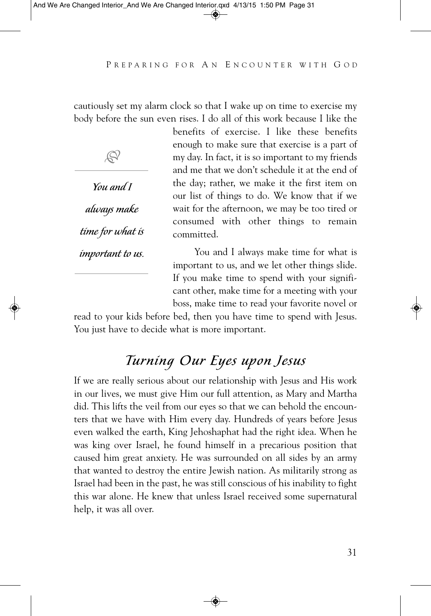cautiously set my alarm clock so that I wake up on time to exercise my body before the sun even rises. I do all of this work because I like the

 $\mathbb{S}^2$ 

You and I always make time for what is important to us.

benefits of exercise. I like these benefits enough to make sure that exercise is a part of my day. In fact, it is so important to my friends and me that we don't schedule it at the end of the day; rather, we make it the first item on our list of things to do. We know that if we wait for the afternoon, we may be too tired or consumed with other things to remain committed.

You and I always make time for what is important to us, and we let other things slide. If you make time to spend with your significant other, make time for a meeting with your boss, make time to read your favorite novel or

read to your kids before bed, then you have time to spend with Jesus. You just have to decide what is more important.

# Turning Our Eyes upon Jesus

If we are really serious about our relationship with Jesus and His work in our lives, we must give Him our full attention, as Mary and Martha did. This lifts the veil from our eyes so that we can behold the encounters that we have with Him every day. Hundreds of years before Jesus even walked the earth, King Jehoshaphat had the right idea. When he was king over Israel, he found himself in a precarious position that caused him great anxiety. He was surrounded on all sides by an army that wanted to destroy the entire Jewish nation. As militarily strong as Israel had been in the past, he was still conscious of his inability to fight this war alone. He knew that unless Israel received some supernatural help, it was all over.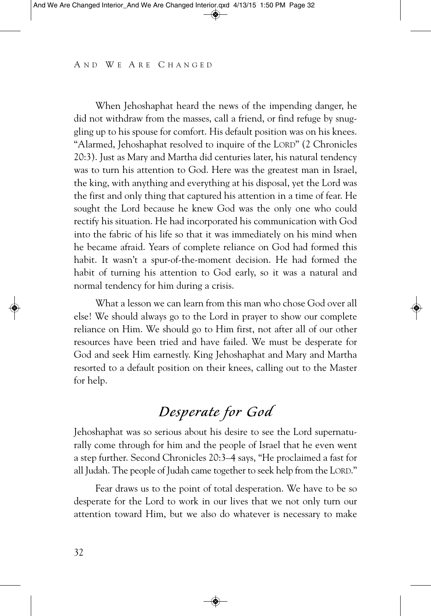When Jehoshaphat heard the news of the impending danger, he did not withdraw from the masses, call a friend, or find refuge by snuggling up to his spouse for comfort. His default position was on his knees. "Alarmed, Jehoshaphat resolved to inquire of the LORD" (2 Chronicles 20:3). Just as Mary and Martha did centuries later, his natural tendency was to turn his attention to God. Here was the greatest man in Israel, the king, with anything and everything at his disposal, yet the Lord was the first and only thing that captured his attention in a time of fear. He sought the Lord because he knew God was the only one who could rectify his situation. He had incorporated his communication with God into the fabric of his life so that it was immediately on his mind when he became afraid. Years of complete reliance on God had formed this habit. It wasn't a spur-of-the-moment decision. He had formed the habit of turning his attention to God early, so it was a natural and normal tendency for him during a crisis.

What a lesson we can learn from this man who chose God over all else! We should always go to the Lord in prayer to show our complete reliance on Him. We should go to Him first, not after all of our other resources have been tried and have failed. We must be desperate for God and seek Him earnestly. King Jehoshaphat and Mary and Martha resorted to a default position on their knees, calling out to the Master for help.

## Desperate for God

Jehoshaphat was so serious about his desire to see the Lord supernaturally come through for him and the people of Israel that he even went a step further. Second Chronicles 20:3–4 says, "He proclaimed a fast for all Judah. The people of Judah came together to seek help from the LORD."

Fear draws us to the point of total desperation. We have to be so desperate for the Lord to work in our lives that we not only turn our attention toward Him, but we also do whatever is necessary to make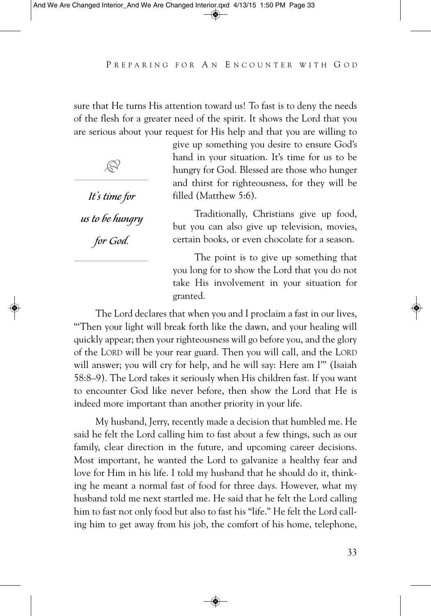sure that He turns His attention toward us! To fast is to deny the needs of the flesh for a greater need of the spirit. It shows the Lord that you are serious about your request for His help and that you are willing to



It's time for

us to be hungry

for God.

give up something you desire to ensure God's hand in your situation. It's time for us to be hungry for God. Blessed are those who hunger and thirst for righteousness, for they will be filled (Matthew 5:6).

Traditionally, Christians give up food, but you can also give up television, movies, certain books, or even chocolate for a season.

The point is to give up something that you long for to show the Lord that you do not take His involvement in your situation for granted.

The Lord declares that when you and I proclaim a fast in our lives, "'Then your light will break forth like the dawn, and your healing will quickly appear; then your righteousness will go before you, and the glory of the LORD will be your rear guard. Then you will call, and the LORD will answer; you will cry for help, and he will say: Here am I"" (Isaiah 58:8–9). The Lord takes it seriously when His children fast. If you want to encounter God like never before, then show the Lord that He is indeed more important than another priority in your life.

My husband, Jerry, recently made a decision that humbled me. He said he felt the Lord calling him to fast about a few things, such as our family, clear direction in the future, and upcoming career decisions. Most important, he wanted the Lord to galvanize a healthy fear and love for Him in his life. I told my husband that he should do it, thinking he meant a normal fast of food for three days. However, what my husband told me next startled me. He said that he felt the Lord calling him to fast not only food but also to fast his "life." He felt the Lord calling him to get away from his job, the comfort of his home, telephone,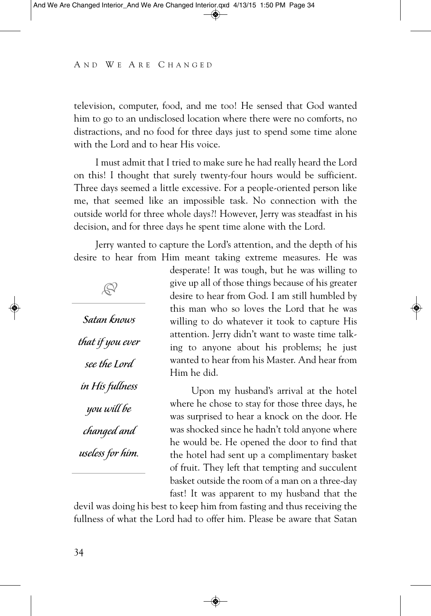television, computer, food, and me too! He sensed that God wanted him to go to an undisclosed location where there were no comforts, no distractions, and no food for three days just to spend some time alone with the Lord and to hear His voice.

I must admit that I tried to make sure he had really heard the Lord on this! I thought that surely twenty-four hours would be sufficient. Three days seemed a little excessive. For a people-oriented person like me, that seemed like an impossible task. No connection with the outside world for three whole days?! However, Jerry was steadfast in his decision, and for three days he spent time alone with the Lord.

Jerry wanted to capture the Lord's attention, and the depth of his desire to hear from Him meant taking extreme measures. He was

Satan knows that ifyou ever see the Lord in His fullness you will be changed and useless for him.

 $\mathbb{S}^2$ 

desperate! It was tough, but he was willing to give up all of those things because of his greater desire to hear from God. I am still humbled by this man who so loves the Lord that he was willing to do whatever it took to capture His attention. Jerry didn't want to waste time talking to anyone about his problems; he just wanted to hear from his Master. And hear from Him he did.

Upon my husband's arrival at the hotel where he chose to stay for those three days, he was surprised to hear a knock on the door. He was shocked since he hadn't told anyone where he would be. He opened the door to find that the hotel had sent up a complimentary basket of fruit. They left that tempting and succulent basket outside the room of a man on a three-day fast! It was apparent to my husband that the

devil was doing his best to keep him from fasting and thus receiving the fullness of what the Lord had to offer him. Please be aware that Satan